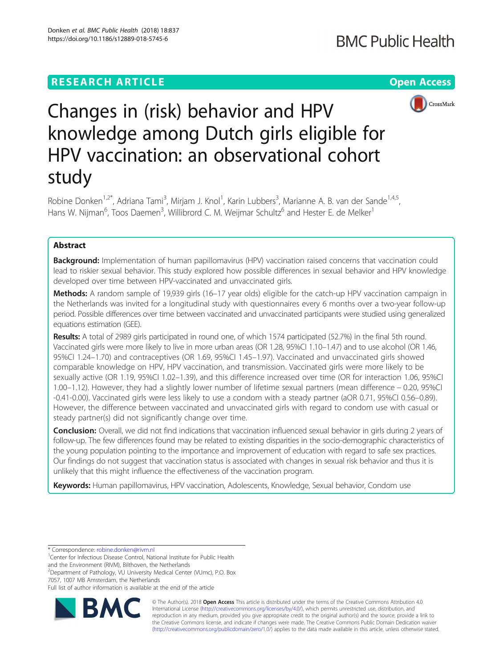## **RESEARCH ARTICLE Example 2018 12:30 THE Open Access**



# Changes in (risk) behavior and HPV knowledge among Dutch girls eligible for HPV vaccination: an observational cohort study

Robine Donken<sup>1,2\*</sup>, Adriana Tami<sup>3</sup>, Mirjam J. Knol<sup>1</sup>, Karin Lubbers<sup>3</sup>, Marianne A. B. van der Sande<sup>1,4,5</sup>, Hans W. Nijman<sup>6</sup>, Toos Daemen<sup>3</sup>, Willibrord C. M. Weijmar Schultz<sup>6</sup> and Hester E. de Melker<sup>1</sup>

## Abstract

**Background:** Implementation of human papillomavirus (HPV) vaccination raised concerns that vaccination could lead to riskier sexual behavior. This study explored how possible differences in sexual behavior and HPV knowledge developed over time between HPV-vaccinated and unvaccinated girls.

Methods: A random sample of 19,939 girls (16-17 year olds) eligible for the catch-up HPV vaccination campaign in the Netherlands was invited for a longitudinal study with questionnaires every 6 months over a two-year follow-up period. Possible differences over time between vaccinated and unvaccinated participants were studied using generalized equations estimation (GEE).

Results: A total of 2989 girls participated in round one, of which 1574 participated (52.7%) in the final 5th round. Vaccinated girls were more likely to live in more urban areas (OR 1.28, 95%CI 1.10–1.47) and to use alcohol (OR 1.46, 95%CI 1.24–1.70) and contraceptives (OR 1.69, 95%CI 1.45–1.97). Vaccinated and unvaccinated girls showed comparable knowledge on HPV, HPV vaccination, and transmission. Vaccinated girls were more likely to be sexually active (OR 1.19, 95%CI 1.02–1.39), and this difference increased over time (OR for interaction 1.06, 95%CI 1.00–1.12). However, they had a slightly lower number of lifetime sexual partners (mean difference − 0.20, 95%CI -0.41-0.00). Vaccinated girls were less likely to use a condom with a steady partner (aOR 0.71, 95%CI 0.56–0.89). However, the difference between vaccinated and unvaccinated girls with regard to condom use with casual or steady partner(s) did not significantly change over time.

Conclusion: Overall, we did not find indications that vaccination influenced sexual behavior in girls during 2 years of follow-up. The few differences found may be related to existing disparities in the socio-demographic characteristics of the young population pointing to the importance and improvement of education with regard to safe sex practices. Our findings do not suggest that vaccination status is associated with changes in sexual risk behavior and thus it is unlikely that this might influence the effectiveness of the vaccination program.

Keywords: Human papillomavirus, HPV vaccination, Adolescents, Knowledge, Sexual behavior, Condom use

<sup>1</sup> Center for Infectious Disease Control, National Institute for Public Health

and the Environment (RIVM), Bilthoven, the Netherlands <sup>2</sup>Department of Pathology, VU University Medical Center (VUmc), P.O. Box

7057, 1007 MB Amsterdam, the Netherlands

Full list of author information is available at the end of the article



© The Author(s). 2018 Open Access This article is distributed under the terms of the Creative Commons Attribution 4.0 International License [\(http://creativecommons.org/licenses/by/4.0/](http://creativecommons.org/licenses/by/4.0/)), which permits unrestricted use, distribution, and reproduction in any medium, provided you give appropriate credit to the original author(s) and the source, provide a link to the Creative Commons license, and indicate if changes were made. The Creative Commons Public Domain Dedication waiver [\(http://creativecommons.org/publicdomain/zero/1.0/](http://creativecommons.org/publicdomain/zero/1.0/)) applies to the data made available in this article, unless otherwise stated.

<sup>\*</sup> Correspondence: [robine.donken@rivm.nl](mailto:robine.donken@rivm.nl) <sup>1</sup>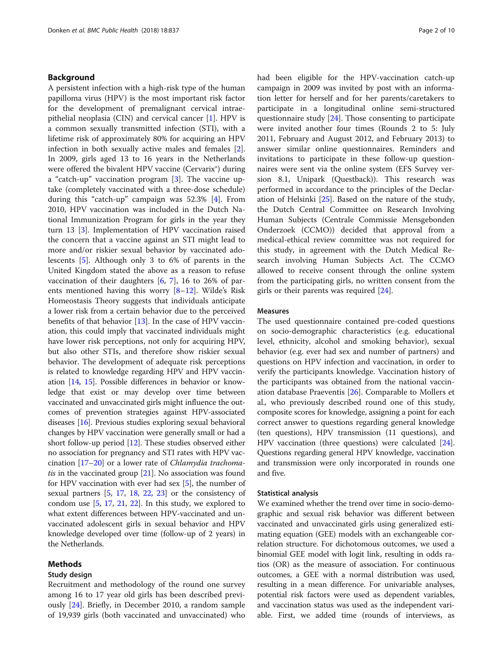## Background

A persistent infection with a high-risk type of the human papilloma virus (HPV) is the most important risk factor for the development of premalignant cervical intraepithelial neoplasia (CIN) and cervical cancer [\[1](#page-8-0)]. HPV is a common sexually transmitted infection (STI), with a lifetime risk of approximately 80% for acquiring an HPV infection in both sexually active males and females [\[2](#page-8-0)]. In 2009, girls aged 13 to 16 years in the Netherlands were offered the bivalent HPV vaccine (Cervarix®) during a "catch-up" vaccination program [\[3](#page-8-0)]. The vaccine uptake (completely vaccinated with a three-dose schedule) during this "catch-up" campaign was 52.3% [\[4](#page-8-0)]. From 2010, HPV vaccination was included in the Dutch National Immunization Program for girls in the year they turn 13 [[3\]](#page-8-0). Implementation of HPV vaccination raised the concern that a vaccine against an STI might lead to more and/or riskier sexual behavior by vaccinated adolescents [[5\]](#page-8-0). Although only 3 to 6% of parents in the United Kingdom stated the above as a reason to refuse vaccination of their daughters [[6](#page-8-0), [7\]](#page-8-0), 16 to 26% of parents mentioned having this worry [[8](#page-8-0)–[12](#page-8-0)]. Wilde's Risk Homeostasis Theory suggests that individuals anticipate a lower risk from a certain behavior due to the perceived benefits of that behavior [\[13](#page-8-0)]. In the case of HPV vaccination, this could imply that vaccinated individuals might have lower risk perceptions, not only for acquiring HPV, but also other STIs, and therefore show riskier sexual behavior. The development of adequate risk perceptions is related to knowledge regarding HPV and HPV vaccination [\[14,](#page-8-0) [15\]](#page-8-0). Possible differences in behavior or knowledge that exist or may develop over time between vaccinated and unvaccinated girls might influence the outcomes of prevention strategies against HPV-associated diseases [[16](#page-8-0)]. Previous studies exploring sexual behavioral changes by HPV vaccination were generally small or had a short follow-up period [\[12](#page-8-0)]. These studies observed either no association for pregnancy and STI rates with HPV vaccination  $[17–20]$  $[17–20]$  $[17–20]$  $[17–20]$  or a lower rate of *Chlamydia trachoma*tis in the vaccinated group  $[21]$  $[21]$  $[21]$ . No association was found for HPV vaccination with ever had sex [\[5\]](#page-8-0), the number of sexual partners [\[5](#page-8-0), [17](#page-8-0), [18](#page-8-0), [22](#page-9-0), [23](#page-9-0)] or the consistency of condom use  $[5, 17, 21, 22]$  $[5, 17, 21, 22]$  $[5, 17, 21, 22]$  $[5, 17, 21, 22]$  $[5, 17, 21, 22]$  $[5, 17, 21, 22]$  $[5, 17, 21, 22]$ . In this study, we explored to what extent differences between HPV-vaccinated and unvaccinated adolescent girls in sexual behavior and HPV knowledge developed over time (follow-up of 2 years) in the Netherlands.

## Methods

## Study design

Recruitment and methodology of the round one survey among 16 to 17 year old girls has been described previously [[24\]](#page-9-0). Briefly, in December 2010, a random sample of 19,939 girls (both vaccinated and unvaccinated) who had been eligible for the HPV-vaccination catch-up campaign in 2009 was invited by post with an information letter for herself and for her parents/caretakers to participate in a longitudinal online semi-structured questionnaire study [[24\]](#page-9-0). Those consenting to participate were invited another four times (Rounds 2 to 5: July 2011, February and August 2012, and February 2013) to answer similar online questionnaires. Reminders and invitations to participate in these follow-up questionnaires were sent via the online system (EFS Survey version 8.1, Unipark (Questback)). This research was performed in accordance to the principles of the Declaration of Helsinki [[25\]](#page-9-0). Based on the nature of the study, the Dutch Central Committee on Research Involving Human Subjects (Centrale Commissie Mensgebonden Onderzoek (CCMO)) decided that approval from a medical-ethical review committee was not required for this study, in agreement with the Dutch Medical Research involving Human Subjects Act. The CCMO allowed to receive consent through the online system from the participating girls, no written consent from the girls or their parents was required [\[24](#page-9-0)].

#### Measures

The used questionnaire contained pre-coded questions on socio-demographic characteristics (e.g. educational level, ethnicity, alcohol and smoking behavior), sexual behavior (e.g. ever had sex and number of partners) and questions on HPV infection and vaccination, in order to verify the participants knowledge. Vaccination history of the participants was obtained from the national vaccination database Praeventis [[26](#page-9-0)]. Comparable to Mollers et al., who previously described round one of this study, composite scores for knowledge, assigning a point for each correct answer to questions regarding general knowledge (ten questions), HPV transmission (11 questions), and HPV vaccination (three questions) were calculated [[24](#page-9-0)]. Questions regarding general HPV knowledge, vaccination and transmission were only incorporated in rounds one and five.

#### Statistical analysis

We examined whether the trend over time in socio-demographic and sexual risk behavior was different between vaccinated and unvaccinated girls using generalized estimating equation (GEE) models with an exchangeable correlation structure. For dichotomous outcomes, we used a binomial GEE model with logit link, resulting in odds ratios (OR) as the measure of association. For continuous outcomes, a GEE with a normal distribution was used, resulting in a mean difference. For univariable analyses, potential risk factors were used as dependent variables, and vaccination status was used as the independent variable. First, we added time (rounds of interviews, as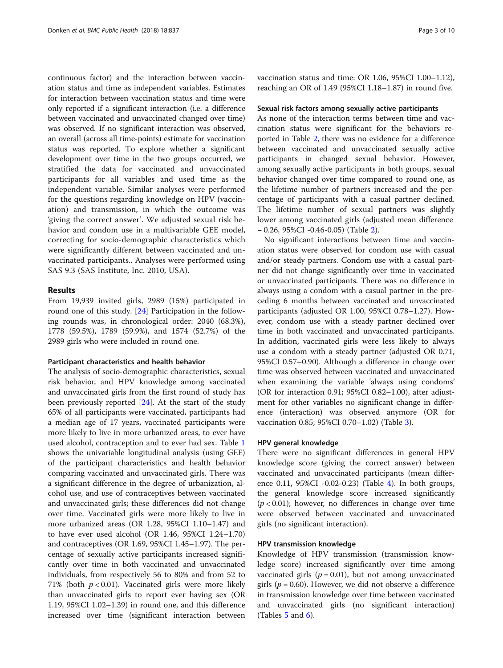continuous factor) and the interaction between vaccination status and time as independent variables. Estimates for interaction between vaccination status and time were only reported if a significant interaction (i.e. a difference between vaccinated and unvaccinated changed over time) was observed. If no significant interaction was observed, an overall (across all time-points) estimate for vaccination status was reported. To explore whether a significant development over time in the two groups occurred, we stratified the data for vaccinated and unvaccinated participants for all variables and used time as the independent variable. Similar analyses were performed for the questions regarding knowledge on HPV (vaccination) and transmission, in which the outcome was 'giving the correct answer'. We adjusted sexual risk behavior and condom use in a multivariable GEE model, correcting for socio-demographic characteristics which were significantly different between vaccinated and unvaccinated participants.. Analyses were performed using SAS 9.3 (SAS Institute, Inc. 2010, USA).

## Results

From 19,939 invited girls, 2989 (15%) participated in round one of this study. [[24\]](#page-9-0) Participation in the following rounds was, in chronological order: 2040 (68.3%), 1778 (59.5%), 1789 (59.9%), and 1574 (52.7%) of the 2989 girls who were included in round one.

#### Participant characteristics and health behavior

The analysis of socio-demographic characteristics, sexual risk behavior, and HPV knowledge among vaccinated and unvaccinated girls from the first round of study has been previously reported  $[24]$  $[24]$  $[24]$ . At the start of the study 65% of all participants were vaccinated, participants had a median age of 17 years, vaccinated participants were more likely to live in more urbanized areas, to ever have used alcohol, contraception and to ever had sex. Table [1](#page-3-0) shows the univariable longitudinal analysis (using GEE) of the participant characteristics and health behavior comparing vaccinated and unvaccinated girls. There was a significant difference in the degree of urbanization, alcohol use, and use of contraceptives between vaccinated and unvaccinated girls; these differences did not change over time. Vaccinated girls were more likely to live in more urbanized areas (OR 1.28, 95%CI 1.10–1.47) and to have ever used alcohol (OR 1.46, 95%CI 1.24–1.70) and contraceptives (OR 1.69, 95%CI 1.45–1.97). The percentage of sexually active participants increased significantly over time in both vaccinated and unvaccinated individuals, from respectively 56 to 80% and from 52 to 71% (both  $p < 0.01$ ). Vaccinated girls were more likely than unvaccinated girls to report ever having sex (OR 1.19, 95%CI 1.02–1.39) in round one, and this difference increased over time (significant interaction between vaccination status and time: OR 1.06, 95%CI 1.00–1.12), reaching an OR of 1.49 (95%CI 1.18–1.87) in round five.

#### Sexual risk factors among sexually active participants

As none of the interaction terms between time and vaccination status were significant for the behaviors reported in Table [2,](#page-4-0) there was no evidence for a difference between vaccinated and unvaccinated sexually active participants in changed sexual behavior. However, among sexually active participants in both groups, sexual behavior changed over time compared to round one, as the lifetime number of partners increased and the percentage of participants with a casual partner declined. The lifetime number of sexual partners was slightly lower among vaccinated girls (adjusted mean difference − 0.26, 95%CI -0.46-0.05) (Table [2](#page-4-0)).

No significant interactions between time and vaccination status were observed for condom use with casual and/or steady partners. Condom use with a casual partner did not change significantly over time in vaccinated or unvaccinated participants. There was no difference in always using a condom with a casual partner in the preceding 6 months between vaccinated and unvaccinated participants (adjusted OR 1.00, 95%CI 0.78–1.27). However, condom use with a steady partner declined over time in both vaccinated and unvaccinated participants. In addition, vaccinated girls were less likely to always use a condom with a steady partner (adjusted OR 0.71, 95%CI 0.57–0.90). Although a difference in change over time was observed between vaccinated and unvaccinated when examining the variable 'always using condoms' (OR for interaction 0.91; 95%CI 0.82–1.00), after adjustment for other variables no significant change in difference (interaction) was observed anymore (OR for vaccination 0.85; 95%CI 0.70–1.02) (Table [3](#page-4-0)).

#### HPV general knowledge

There were no significant differences in general HPV knowledge score (giving the correct answer) between vaccinated and unvaccinated participants (mean difference 0.11, 95%CI -0.02-0.23) (Table [4\)](#page-5-0). In both groups, the general knowledge score increased significantly  $(p < 0.01)$ ; however, no differences in change over time were observed between vaccinated and unvaccinated girls (no significant interaction).

#### HPV transmission knowledge

Knowledge of HPV transmission (transmission knowledge score) increased significantly over time among vaccinated girls ( $p = 0.01$ ), but not among unvaccinated girls ( $p = 0.60$ ). However, we did not observe a difference in transmission knowledge over time between vaccinated and unvaccinated girls (no significant interaction) (Tables  $5$  and  $6$ ).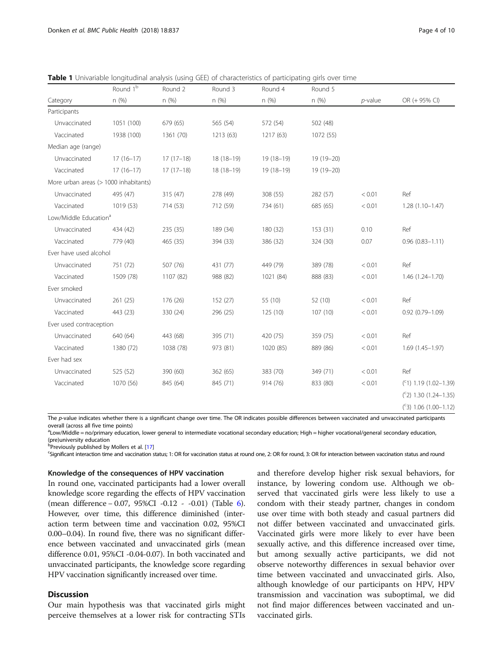|                                       | Round 1 <sup>b</sup> | Round 2     | Round 3     | Round 4     | Round 5    |            |                          |
|---------------------------------------|----------------------|-------------|-------------|-------------|------------|------------|--------------------------|
| Category                              | n (%)                | n(%)        | n(%)        | n(%)        | n (%)      | $p$ -value | OR (+ 95% CI)            |
| Participants                          |                      |             |             |             |            |            |                          |
| Unvaccinated                          | 1051 (100)           | 679 (65)    | 565 (54)    | 572 (54)    | 502 (48)   |            |                          |
| Vaccinated                            | 1938 (100)           | 1361 (70)   | 1213 (63)   | 1217 (63)   | 1072 (55)  |            |                          |
| Median age (range)                    |                      |             |             |             |            |            |                          |
| Unvaccinated                          | $17(16-17)$          | $17(17-18)$ | 18 (18-19)  | $19(18-19)$ | 19 (19-20) |            |                          |
| Vaccinated                            | $17(16-17)$          | $17(17-18)$ | $18(18-19)$ | $19(18-19)$ | 19 (19-20) |            |                          |
| More urban areas (> 1000 inhabitants) |                      |             |             |             |            |            |                          |
| Unvaccinated                          | 495 (47)             | 315(47)     | 278 (49)    | 308 (55)    | 282 (57)   | < 0.01     | Ref                      |
| Vaccinated                            | 1019 (53)            | 714 (53)    | 712 (59)    | 734 (61)    | 685 (65)   | < 0.01     | $1.28(1.10-1.47)$        |
| Low/Middle Education <sup>a</sup>     |                      |             |             |             |            |            |                          |
| Unvaccinated                          | 434 (42)             | 235 (35)    | 189 (34)    | 180 (32)    | 153(31)    | 0.10       | Ref                      |
| Vaccinated                            | 779 (40)             | 465 (35)    | 394 (33)    | 386 (32)    | 324 (30)   | 0.07       | $0.96(0.83 - 1.11)$      |
| Ever have used alcohol                |                      |             |             |             |            |            |                          |
| Unvaccinated                          | 751 (72)             | 507 (76)    | 431 (77)    | 449 (79)    | 389 (78)   | < 0.01     | Ref                      |
| Vaccinated                            | 1509 (78)            | 1107 (82)   | 988 (82)    | 1021 (84)   | 888 (83)   | < 0.01     | $1.46(1.24 - 1.70)$      |
| Ever smoked                           |                      |             |             |             |            |            |                          |
| Unvaccinated                          | 261(25)              | 176 (26)    | 152(27)     | 55 (10)     | 52 (10)    | < 0.01     | Ref                      |
| Vaccinated                            | 443 (23)             | 330 (24)    | 296 (25)    | 125(10)     | 107 (10)   | < 0.01     | $0.92(0.79 - 1.09)$      |
| Ever used contraception               |                      |             |             |             |            |            |                          |
| Unvaccinated                          | 640 (64)             | 443 (68)    | 395 (71)    | 420 (75)    | 359 (75)   | < 0.01     | Ref                      |
| Vaccinated                            | 1380 (72)            | 1038 (78)   | 973 (81)    | 1020 (85)   | 889 (86)   | < 0.01     | $1.69(1.45 - 1.97)$      |
| Ever had sex                          |                      |             |             |             |            |            |                          |
| Unvaccinated                          | 525 (52)             | 390 (60)    | 362(65)     | 383 (70)    | 349 (71)   | < 0.01     | Ref                      |
| Vaccinated                            | 1070 (56)            | 845 (64)    | 845 (71)    | 914 (76)    | 833 (80)   | < 0.01     | $(51)$ 1.19 (1.02-1.39)  |
|                                       |                      |             |             |             |            |            | $(52)$ 1.30 (1.24-1.35)  |
|                                       |                      |             |             |             |            |            | $(^c3)$ 1.06 (1.00-1.12) |

<span id="page-3-0"></span>**Table 1** Univariable longitudinal analysis (using GEE) of characteristics of participating girls over time

The p-value indicates whether there is a significant change over time. The OR indicates possible differences between vaccinated and unvaccinated participants overall (across all five time points)

a Low/Middle = no/primary education, lower general to intermediate vocational secondary education; High = higher vocational/general secondary education, (pre)university education

**P** Previously published by Mollers et al. [\[17\]](#page-8-0) **Consider the Struck Struck Struck Struck** 

Significant interaction time and vaccination status; 1: OR for vaccination status at round one, 2: OR for round, 3: OR for interaction between vaccination status and round

#### Knowledge of the consequences of HPV vaccination

In round one, vaccinated participants had a lower overall knowledge score regarding the effects of HPV vaccination (mean difference − 0.07, 95%CI -0.12 - -0.01) (Table [6](#page-7-0)). However, over time, this difference diminished (interaction term between time and vaccination 0.02, 95%CI 0.00–0.04). In round five, there was no significant difference between vaccinated and unvaccinated girls (mean difference 0.01, 95%CI -0.04-0.07). In both vaccinated and unvaccinated participants, the knowledge score regarding HPV vaccination significantly increased over time.

## **Discussion**

Our main hypothesis was that vaccinated girls might perceive themselves at a lower risk for contracting STIs

and therefore develop higher risk sexual behaviors, for instance, by lowering condom use. Although we observed that vaccinated girls were less likely to use a condom with their steady partner, changes in condom use over time with both steady and casual partners did not differ between vaccinated and unvaccinated girls. Vaccinated girls were more likely to ever have been sexually active, and this difference increased over time, but among sexually active participants, we did not observe noteworthy differences in sexual behavior over time between vaccinated and unvaccinated girls. Also, although knowledge of our participants on HPV, HPV transmission and vaccination was suboptimal, we did not find major differences between vaccinated and unvaccinated girls.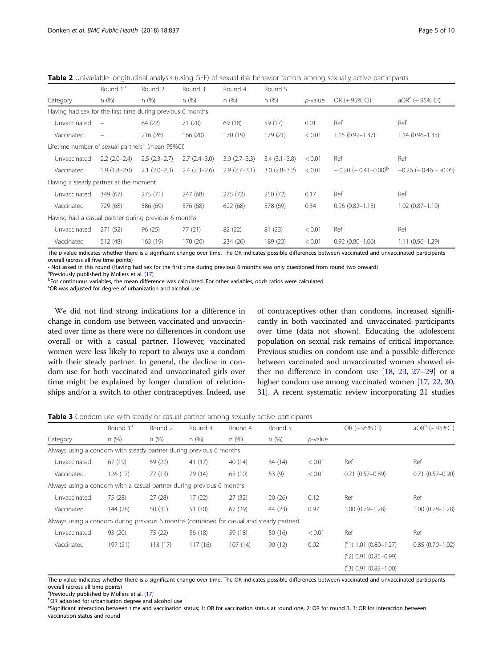<span id="page-4-0"></span>Table 2 Univariable longitudinal analysis (using GEE) of sexual risk behavior factors among sexually active participants

|                                                              | Round 1 <sup>ª</sup>     | Round <sub>2</sub> | Round 3        | Round 4        | Round 5          |                 |                                         |                             |
|--------------------------------------------------------------|--------------------------|--------------------|----------------|----------------|------------------|-----------------|-----------------------------------------|-----------------------------|
| Category                                                     | n(%)                     | n(%)               | n(%)           | n(%)           | n(%)             | <i>p</i> -value | OR (+ 95% CI)                           | $aORc$ (+ 95% CI)           |
| Having had sex for the first time during previous 6 months   |                          |                    |                |                |                  |                 |                                         |                             |
| Unvaccinated                                                 | $\overline{\phantom{m}}$ | 84 (22)            | 71(20)         | 69 (18)        | 59 (17)          | 0.01            | Ref                                     | Ref                         |
| Vaccinated                                                   | $\overline{\phantom{0}}$ | 216 (26)           | 166(20)        | 170 (19)       | 179 (21)         | < 0.01          | $1.15(0.97 - 1.37)$                     | $1.14(0.96 - 1.35)$         |
| Lifetime number of sexual partners <sup>b</sup> (mean 95%CI) |                          |                    |                |                |                  |                 |                                         |                             |
| Unvaccinated                                                 | $2.2(2.0-2.4)$           | $2.5(2.3-2.7)$     | $2.7(2.4-3.0)$ | $3.0(2.7-3.3)$ | $3.4(3.1 - 3.8)$ | < 0.01          | Ref                                     | Ref                         |
| Vaccinated                                                   | $1.9(1.8-2.0)$           | $2.1(2.0-2.3)$     | $2.4(2.3-2.6)$ | $2.9(2.7-3.1)$ | $3.0(2.8-3.2)$   | < 0.01          | $-0.20$ ( $-0.41 - 0.00$ ) <sup>b</sup> | $-0.26$ ( $-0.46$ $-0.05$ ) |
| Having a steady partner at the moment                        |                          |                    |                |                |                  |                 |                                         |                             |
| Unvaccinated                                                 | 349 (67)                 | 275 (71)           | 247 (68)       | 275 (72)       | 250 (72)         | 0.17            | Ref                                     | Ref                         |
| Vaccinated                                                   | 729 (68)                 | 586 (69)           | 576 (68)       | 622 (68)       | 578 (69)         | 0.34            | $0.96(0.82 - 1.13)$                     | $1.02(0.87 - 1.19)$         |
| Having had a casual partner during previous 6 months         |                          |                    |                |                |                  |                 |                                         |                             |
| Unvaccinated                                                 | 271 (52)                 | 96(25)             | 77(21)         | 82 (22)        | 81(23)           | < 0.01          | Ref                                     | Ref                         |
| Vaccinated                                                   | 512 (48)                 | 163 (19)           | 170 (20)       | 234 (26)       | 189 (23)         | < 0.01          | $0.92(0.80 - 1.06)$                     | $1.11(0.96 - 1.29)$         |

The p-value indicates whether there is a significant change over time. The OR indicates possible differences between vaccinated and unvaccinated participants overall (across all five time points)

- Not asked in this round (Having had sex for the first time during previous 6 months was only questioned from round two onward)

a<br>Previously published by Mollers et al. [\[17](#page-8-0)]<br>PEOS continuous variables, the mean different

<sup>b</sup>For continuous variables, the mean difference was calculated. For other variables, odds ratios were calculated

<sup>c</sup>OR was adjusted for degree of urbanization and alcohol use

We did not find strong indications for a difference in change in condom use between vaccinated and unvaccinated over time as there were no differences in condom use overall or with a casual partner. However, vaccinated women were less likely to report to always use a condom with their steady partner. In general, the decline in condom use for both vaccinated and unvaccinated girls over time might be explained by longer duration of relationships and/or a switch to other contraceptives. Indeed, use

of contraceptives other than condoms, increased significantly in both vaccinated and unvaccinated participants over time (data not shown). Educating the adolescent population on sexual risk remains of critical importance. Previous studies on condom use and a possible difference between vaccinated and unvaccinated women showed either no difference in condom use  $[18, 23, 27-29]$  $[18, 23, 27-29]$  $[18, 23, 27-29]$  $[18, 23, 27-29]$  $[18, 23, 27-29]$  $[18, 23, 27-29]$  $[18, 23, 27-29]$  $[18, 23, 27-29]$  or a higher condom use among vaccinated women [\[17,](#page-8-0) [22,](#page-9-0) [30](#page-9-0), [31](#page-9-0)]. A recent systematic review incorporating 21 studies

**Table 3** Condom use with steady or casual partner among sexually active participants

|                                                                                         | Round 1 <sup>a</sup> | Round 2 | Round 3 | Round 4 | Round 5 |            | OR (+ 95% CI)              | $aORb$ (+ 95%CI)    |
|-----------------------------------------------------------------------------------------|----------------------|---------|---------|---------|---------|------------|----------------------------|---------------------|
| Category                                                                                | n(%)                 | n(%)    | n(%)    | n (%)   | n(%)    | $p$ -value |                            |                     |
| Always using a condom with steady partner during previous 6 months                      |                      |         |         |         |         |            |                            |                     |
| Unvaccinated                                                                            | 67 (19)              | 59 (22) | 41(17)  | 40 (14) | 34(14)  | < 0.01     | Ref                        | Ref                 |
| Vaccinated                                                                              | 126(17)              | 77(13)  | 79 (14) | 65 (10) | 53 (9)  | < 0.01     | $0.71(0.57-0.89)$          | $0.71(0.57 - 0.90)$ |
| Always using a condom with a casual partner during previous 6 months                    |                      |         |         |         |         |            |                            |                     |
| Unvaccinated                                                                            | 75 (28)              | 27(28)  | 17(22)  | 27(32)  | 20(26)  | 0.12       | Ref                        | Ref                 |
| Vaccinated                                                                              | 144 (28)             | 50 (31) | 51 (30) | 67(29)  | 44 (23) | 0.97       | $1.00(0.79 - 1.28)$        | $1.00(0.78 - 1.28)$ |
| Always using a condom during previous 6 months (combined for casual and steady partner) |                      |         |         |         |         |            |                            |                     |
| Unvaccinated                                                                            | 93 (20)              | 75 (22) | 56 (18) | 59 (18) | 50(16)  | < 0.01     | Ref                        | Ref                 |
| Vaccinated                                                                              | 197 (21)             | 113(17) | 117(16) | 107(14) | 90(12)  | 0.02       | $(^{c}1)$ 1.01 (0.80-1.27) | $0.85(0.70 - 1.02)$ |
|                                                                                         |                      |         |         |         |         |            | $(52)$ 0.91 (0.85-0.99)    |                     |
|                                                                                         |                      |         |         |         |         |            | $(^c3)$ 0.91 (0.82-1.00)   |                     |

The p-value indicates whether there is a significant change over time. The OR indicates possible differences between vaccinated and unvaccinated participants overall (across all time points)

<sup>a</sup> Previously published by Mollers et al. [\[17](#page-8-0)]<br><sup>b</sup>OP adjusted for urbanisation degree and

OR adjusted for urbanisation degree and alcohol use

<sup>c</sup>Significant interaction between time and vaccination status; 1: OR for vaccination status at round one, 2: OR for round 3, 3: OR for interaction between vaccination status and round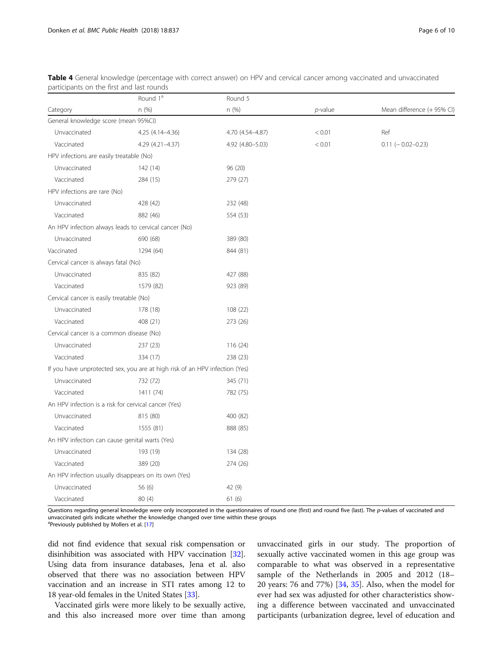|                                                                             | Round 1 <sup>a</sup> | Round 5          |            |                            |
|-----------------------------------------------------------------------------|----------------------|------------------|------------|----------------------------|
| Category                                                                    | n (%)                | n (%)            | $p$ -value | Mean difference (+ 95% CI) |
| General knowledge score (mean 95%CI)                                        |                      |                  |            |                            |
| Unvaccinated                                                                | 4.25 (4.14-4.36)     | 4.70 (4.54-4.87) | < 0.01     | Ref                        |
| Vaccinated                                                                  | 4.29 (4.21-4.37)     | 4.92 (4.80-5.03) | < 0.01     | $0.11 (-0.02 - 0.23)$      |
| HPV infections are easily treatable (No)                                    |                      |                  |            |                            |
| Unvaccinated                                                                | 142 (14)             | 96 (20)          |            |                            |
| Vaccinated                                                                  | 284 (15)             | 279 (27)         |            |                            |
| HPV infections are rare (No)                                                |                      |                  |            |                            |
| Unvaccinated                                                                | 428 (42)             | 232 (48)         |            |                            |
| Vaccinated                                                                  | 882 (46)             | 554 (53)         |            |                            |
| An HPV infection always leads to cervical cancer (No)                       |                      |                  |            |                            |
| Unvaccinated                                                                | 690 (68)             | 389 (80)         |            |                            |
| Vaccinated                                                                  | 1294 (64)            | 844 (81)         |            |                            |
| Cervical cancer is always fatal (No)                                        |                      |                  |            |                            |
| Unvaccinated                                                                | 835 (82)             | 427 (88)         |            |                            |
| Vaccinated                                                                  | 1579 (82)            | 923 (89)         |            |                            |
| Cervical cancer is easily treatable (No)                                    |                      |                  |            |                            |
| Unvaccinated                                                                | 178 (18)             | 108 (22)         |            |                            |
| Vaccinated                                                                  | 408 (21)             | 273 (26)         |            |                            |
| Cervical cancer is a common disease (No)                                    |                      |                  |            |                            |
| Unvaccinated                                                                | 237 (23)             | 116 (24)         |            |                            |
| Vaccinated                                                                  | 334 (17)             | 238 (23)         |            |                            |
| If you have unprotected sex, you are at high risk of an HPV infection (Yes) |                      |                  |            |                            |
| Unvaccinated                                                                | 732 (72)             | 345 (71)         |            |                            |
| Vaccinated                                                                  | 1411 (74)            | 782 (75)         |            |                            |
| An HPV infection is a risk for cervical cancer (Yes)                        |                      |                  |            |                            |
| Unvaccinated                                                                | 815 (80)             | 400 (82)         |            |                            |
| Vaccinated                                                                  | 1555 (81)            | 888 (85)         |            |                            |
| An HPV infection can cause genital warts (Yes)                              |                      |                  |            |                            |
| Unvaccinated                                                                | 193 (19)             | 134 (28)         |            |                            |
| Vaccinated                                                                  | 389 (20)             | 274 (26)         |            |                            |
| An HPV infection usually disappears on its own (Yes)                        |                      |                  |            |                            |
| Unvaccinated                                                                | 56 (6)               | 42 (9)           |            |                            |
| Vaccinated                                                                  | 80 (4)               | 61(6)            |            |                            |

<span id="page-5-0"></span>Table 4 General knowledge (percentage with correct answer) on HPV and cervical cancer among vaccinated and unvaccinated participants on the first and last rounds

Questions regarding general knowledge were only incorporated in the questionnaires of round one (first) and round five (last). The p-values of vaccinated and unvaccinated girls indicate whether the knowledge changed over time within these groups

<sup>a</sup>Previously published by Mollers et al. [\[17](#page-8-0)]

did not find evidence that sexual risk compensation or disinhibition was associated with HPV vaccination [[32](#page-9-0)]. Using data from insurance databases, Jena et al. also observed that there was no association between HPV vaccination and an increase in STI rates among 12 to 18 year-old females in the United States [\[33](#page-9-0)].

Vaccinated girls were more likely to be sexually active, and this also increased more over time than among

unvaccinated girls in our study. The proportion of sexually active vaccinated women in this age group was comparable to what was observed in a representative sample of the Netherlands in 2005 and 2012 (18– 20 years: 76 and 77%) [[34](#page-9-0), [35](#page-9-0)]. Also, when the model for ever had sex was adjusted for other characteristics showing a difference between vaccinated and unvaccinated participants (urbanization degree, level of education and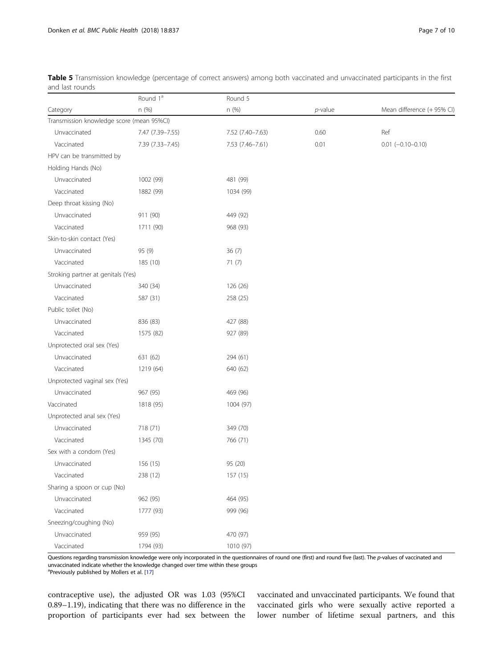|                                           | Round 1 <sup>a</sup> | Round 5          |            |                            |
|-------------------------------------------|----------------------|------------------|------------|----------------------------|
| Category                                  | n (%)                | n (%)            | $p$ -value | Mean difference (+ 95% CI) |
| Transmission knowledge score (mean 95%CI) |                      |                  |            |                            |
| Unvaccinated                              | 7.47 (7.39-7.55)     | 7.52 (7.40-7.63) | 0.60       | Ref                        |
| Vaccinated                                | 7.39 (7.33-7.45)     | 7.53 (7.46-7.61) | 0.01       | $0.01$ (-0.10-0.10)        |
| HPV can be transmitted by                 |                      |                  |            |                            |
| Holding Hands (No)                        |                      |                  |            |                            |
| Unvaccinated                              | 1002 (99)            | 481 (99)         |            |                            |
| Vaccinated                                | 1882 (99)            | 1034 (99)        |            |                            |
| Deep throat kissing (No)                  |                      |                  |            |                            |
| Unvaccinated                              | 911 (90)             | 449 (92)         |            |                            |
| Vaccinated                                | 1711 (90)            | 968 (93)         |            |                            |
| Skin-to-skin contact (Yes)                |                      |                  |            |                            |
| Unvaccinated                              | 95 (9)               | 36(7)            |            |                            |
| Vaccinated                                | 185 (10)             | 71(7)            |            |                            |
| Stroking partner at genitals (Yes)        |                      |                  |            |                            |
| Unvaccinated                              | 340 (34)             | 126 (26)         |            |                            |
| Vaccinated                                | 587 (31)             | 258 (25)         |            |                            |
| Public toilet (No)                        |                      |                  |            |                            |
| Unvaccinated                              | 836 (83)             | 427 (88)         |            |                            |
| Vaccinated                                | 1575 (82)            | 927 (89)         |            |                            |
| Unprotected oral sex (Yes)                |                      |                  |            |                            |
| Unvaccinated                              | 631 (62)             | 294 (61)         |            |                            |
| Vaccinated                                | 1219 (64)            | 640 (62)         |            |                            |
| Unprotected vaginal sex (Yes)             |                      |                  |            |                            |
| Unvaccinated                              | 967 (95)             | 469 (96)         |            |                            |
| Vaccinated                                | 1818 (95)            | 1004 (97)        |            |                            |
| Unprotected anal sex (Yes)                |                      |                  |            |                            |
| Unvaccinated                              | 718 (71)             | 349 (70)         |            |                            |
| Vaccinated                                | 1345 (70)            | 766 (71)         |            |                            |
| Sex with a condom (Yes)                   |                      |                  |            |                            |
| Unvaccinated                              | 156 (15)             | 95 (20)          |            |                            |
| Vaccinated                                | 238 (12)             | 157 (15)         |            |                            |
| Sharing a spoon or cup (No)               |                      |                  |            |                            |
| Unvaccinated                              | 962 (95)             | 464 (95)         |            |                            |
| Vaccinated                                | 1777 (93)            | 999 (96)         |            |                            |
| Sneezing/coughing (No)                    |                      |                  |            |                            |
| Unvaccinated                              | 959 (95)             | 470 (97)         |            |                            |
| Vaccinated                                | 1794 (93)            | 1010 (97)        |            |                            |

<span id="page-6-0"></span>Table 5 Transmission knowledge (percentage of correct answers) among both vaccinated and unvaccinated participants in the first and last rounds

Questions regarding transmission knowledge were only incorporated in the questionnaires of round one (first) and round five (last). The p-values of vaccinated and unvaccinated indicate whether the knowledge changed over time within these groups

<sup>a</sup>Previously published by Mollers et al. [\[17](#page-8-0)]

contraceptive use), the adjusted OR was 1.03 (95%CI 0.89–1.19), indicating that there was no difference in the proportion of participants ever had sex between the

vaccinated and unvaccinated participants. We found that vaccinated girls who were sexually active reported a lower number of lifetime sexual partners, and this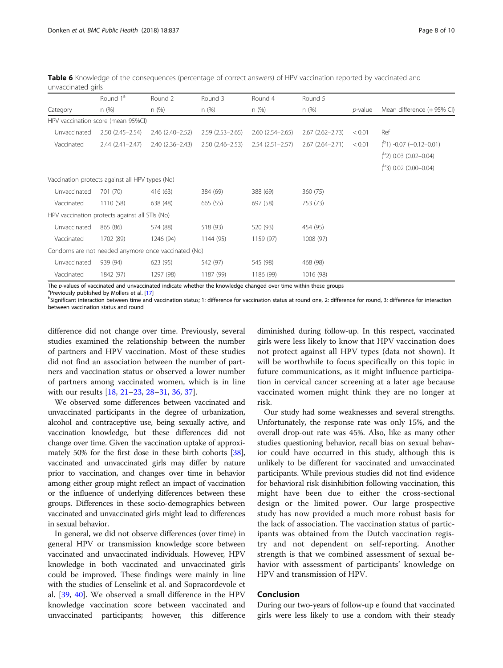<span id="page-7-0"></span>Table 6 Knowledge of the consequences (percentage of correct answers) of HPV vaccination reported by vaccinated and unvaccinated girls

|              | Round 1 <sup>a</sup>                            | Round 2                                             | Round 3             | Round 4             | Round 5             |            |                              |
|--------------|-------------------------------------------------|-----------------------------------------------------|---------------------|---------------------|---------------------|------------|------------------------------|
| Category     | n(%)                                            | n (%)                                               | n(%)                | n(%)                | n(%)                | $p$ -value | Mean difference (+ 95% CI)   |
|              | HPV vaccination score (mean 95%CI)              |                                                     |                     |                     |                     |            |                              |
| Unvaccinated | $2.50(2.45 - 2.54)$                             | $2.46(2.40 - 2.52)$                                 | $2.59(2.53 - 2.65)$ | $2.60(2.54 - 2.65)$ | $2.67(2.62 - 2.73)$ | < 0.01     | Ref                          |
| Vaccinated   | $2.44(2.41 - 2.47)$                             | $2.40(2.36 - 2.43)$                                 | $2.50(2.46 - 2.53)$ | $2.54(2.51 - 2.57)$ | $2.67(2.64 - 2.71)$ | < 0.01     | $(^{P}1)$ -0.07 (-0.12-0.01) |
|              |                                                 |                                                     |                     |                     |                     |            | $(^{b}2)$ 0.03 (0.02-0.04)   |
|              |                                                 |                                                     |                     |                     |                     |            | $(^{b}3)$ 0.02 (0.00-0.04)   |
|              | Vaccination protects against all HPV types (No) |                                                     |                     |                     |                     |            |                              |
| Unvaccinated | 701 (70)                                        | 416 (63)                                            | 384 (69)            | 388 (69)            | 360 (75)            |            |                              |
| Vaccinated   | 1110 (58)                                       | 638 (48)                                            | 665 (55)            | 697 (58)            | 753 (73)            |            |                              |
|              | HPV vaccination protects against all STIs (No)  |                                                     |                     |                     |                     |            |                              |
| Unvaccinated | 865 (86)                                        | 574 (88)                                            | 518 (93)            | 520 (93)            | 454 (95)            |            |                              |
| Vaccinated   | 1702 (89)                                       | 1246 (94)                                           | 1144 (95)           | 1159 (97)           | 1008 (97)           |            |                              |
|              |                                                 | Condoms are not needed anymore once vaccinated (No) |                     |                     |                     |            |                              |
| Unvaccinated | 939 (94)                                        | 623 (95)                                            | 542 (97)            | 545 (98)            | 468 (98)            |            |                              |
| Vaccinated   | 1842 (97)                                       | 1297 (98)                                           | 1187 (99)           | 1186 (99)           | 1016 (98)           |            |                              |

The p-values of vaccinated and unvaccinated indicate whether the knowledge changed over time within these groups

<sup>a</sup>Previously published by Mollers et al. [\[17](#page-8-0)]

<sup>b</sup>Significant interaction between time and vaccination status; 1: difference for vaccination status at round one, 2: difference for round, 3: difference for interaction between vaccination status and round

difference did not change over time. Previously, several studies examined the relationship between the number of partners and HPV vaccination. Most of these studies did not find an association between the number of partners and vaccination status or observed a lower number of partners among vaccinated women, which is in line with our results [[18](#page-8-0), [21](#page-9-0)–[23,](#page-9-0) [28](#page-9-0)–[31,](#page-9-0) [36,](#page-9-0) [37](#page-9-0)].

We observed some differences between vaccinated and unvaccinated participants in the degree of urbanization, alcohol and contraceptive use, being sexually active, and vaccination knowledge, but these differences did not change over time. Given the vaccination uptake of approximately 50% for the first dose in these birth cohorts [\[38](#page-9-0)], vaccinated and unvaccinated girls may differ by nature prior to vaccination, and changes over time in behavior among either group might reflect an impact of vaccination or the influence of underlying differences between these groups. Differences in these socio-demographics between vaccinated and unvaccinated girls might lead to differences in sexual behavior.

In general, we did not observe differences (over time) in general HPV or transmission knowledge score between vaccinated and unvaccinated individuals. However, HPV knowledge in both vaccinated and unvaccinated girls could be improved. These findings were mainly in line with the studies of Lenselink et al. and Sopracordevole et al. [[39](#page-9-0), [40](#page-9-0)]. We observed a small difference in the HPV knowledge vaccination score between vaccinated and unvaccinated participants; however, this difference

diminished during follow-up. In this respect, vaccinated girls were less likely to know that HPV vaccination does not protect against all HPV types (data not shown). It will be worthwhile to focus specifically on this topic in future communications, as it might influence participation in cervical cancer screening at a later age because vaccinated women might think they are no longer at risk.

Our study had some weaknesses and several strengths. Unfortunately, the response rate was only 15%, and the overall drop-out rate was 45%. Also, like as many other studies questioning behavior, recall bias on sexual behavior could have occurred in this study, although this is unlikely to be different for vaccinated and unvaccinated participants. While previous studies did not find evidence for behavioral risk disinhibition following vaccination, this might have been due to either the cross-sectional design or the limited power. Our large prospective study has now provided a much more robust basis for the lack of association. The vaccination status of participants was obtained from the Dutch vaccination registry and not dependent on self-reporting. Another strength is that we combined assessment of sexual behavior with assessment of participants' knowledge on HPV and transmission of HPV.

## Conclusion

During our two-years of follow-up e found that vaccinated girls were less likely to use a condom with their steady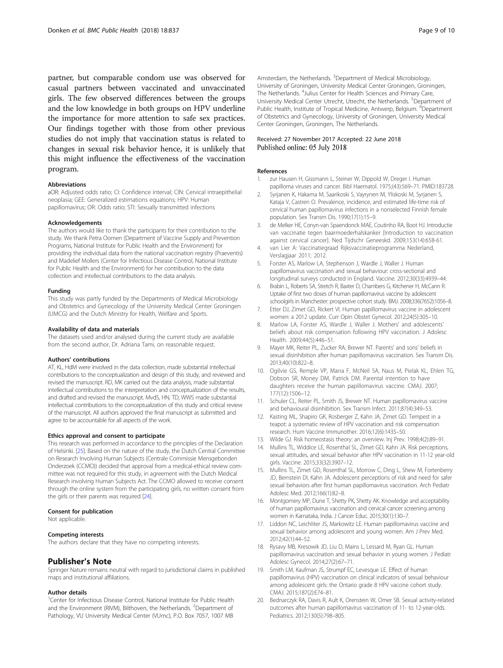<span id="page-8-0"></span>partner, but comparable condom use was observed for casual partners between vaccinated and unvaccinated girls. The few observed differences between the groups and the low knowledge in both groups on HPV underline the importance for more attention to safe sex practices. Our findings together with those from other previous studies do not imply that vaccination status is related to changes in sexual risk behavior hence, it is unlikely that this might influence the effectiveness of the vaccination program.

#### Abbreviations

aOR: Adjusted odds ratio; CI: Confidence interval; CIN: Cervical intraepithelial neoplasia; GEE: Generalized estimations equations; HPV: Human papillomavirus; OR: Odds ratio; STI: Sexually transmitted infections

#### Acknowledgements

The authors would like to thank the participants for their contribution to the study. We thank Petra Oomen (Department of Vaccine Supply and Prevention Programs, National Institute for Public Health and the Environment) for providing the individual data from the national vaccination registry (Praeventis) and Madelief Mollers (Center for Infectious Disease Control, National Institute for Public Health and the Environment) for her contribution to the data collection and intellectual contributions to the data analysis.

#### Funding

This study was partly funded by the Departments of Medical Microbiology and Obstetrics and Gynecology of the University Medical Center Groningen (UMCG) and the Dutch Ministry for Health, Welfare and Sports.

#### Availability of data and materials

The datasets used and/or analysed during the current study are available from the second author, Dr. Adriana Tami, on reasonable request.

#### Authors' contributions

AT, KL, HdM were involved in the data collection, made substantial intellectual contributions to the conceptualization and design of this study, and reviewed and revised the manuscript. RD, MK carried out the data analysis, made substantial intellectual contributions to the interpretation and conceptualization of the results, and drafted and revised the manuscript. MvdS, HN, TD, WWS made substantial intellectual contributions to the conceptualization of this study and critical review of the manuscript. All authors approved the final manuscript as submitted and agree to be accountable for all aspects of the work.

#### Ethics approval and consent to participate

This research was performed in accordance to the principles of the Declaration of Helsinki. [[25\]](#page-9-0). Based on the nature of the study, the Dutch Central Committee on Research Involving Human Subjects (Centrale Commissie Mensgebonden Onderzoek (CCMO)) decided that approval from a medical-ethical review committee was not required for this study, in agreement with the Dutch Medical Research involving Human Subjects Act. The CCMO allowed to receive consent through the online system from the participating girls, no written consent from the girls or their parents was required [\[24](#page-9-0)].

#### Consent for publication

Not applicable.

#### Competing interests

The authors declare that they have no competing interests.

## Publisher's Note

Springer Nature remains neutral with regard to jurisdictional claims in published maps and institutional affiliations.

#### Author details

<sup>1</sup>Center for Infectious Disease Control, National Institute for Public Health and the Environment (RIVM), Bilthoven, the Netherlands. <sup>2</sup>Department of Pathology, VU University Medical Center (VUmc), P.O. Box 7057, 1007 MB

Amsterdam, the Netherlands. <sup>3</sup>Department of Medical Microbiology, University of Groningen, University Medical Center Groningen, Groningen, The Netherlands. <sup>4</sup>Julius Center for Health Sciences and Primary Care University Medical Center Utrecht, Utrecht, the Netherlands. <sup>5</sup>Department of Public Health, Institute of Tropical Medicine, Antwerp, Belgium. <sup>6</sup>Department of Obstetrics and Gynecology, University of Groningen, University Medical Center Groningen, Groningen, The Netherlands.

#### Received: 27 November 2017 Accepted: 22 June 2018 Published online: 05 July 2018

#### References

- 1. zur Hausen H, Gissmann L, Steiner W, Dippold W, Dreger I. Human papilloma viruses and cancer. Bibl Haematol. 1975;(43):569–71. PMID:183728.
- 2. Syrjanen K, Hakama M, Saarikoski S, Vayrynen M, Yliskoski M, Syrjanen S, Kataja V, Castren O. Prevalence, incidence, and estimated life-time risk of cervical human papillomavirus infections in a nonselected Finnish female population. Sex Transm Dis. 1990;17(1):15–9.
- 3. de Melker HE, Conyn-van Spaendonck MAE, Coutinho RA, Boot HJ. Introductie van vaccinatie tegen baarmoederhalskanker [Introduction to vaccination against cervical cancer]. Ned Tijdschr Geneeskd. 2009;153(14):658-61.
- 4. van Lier A: Vaccinatiegraad Rijksvaccinatieprogramma Nederland, Verslagjaar 2011; 2012.
- 5. Forster AS, Marlow LA, Stephenson J, Wardle J, Waller J. Human papillomavirus vaccination and sexual behaviour: cross-sectional and longitudinal surveys conducted in England. Vaccine. 2012;30(33):4939–44.
- 6. Brabin L, Roberts SA, Stretch R, Baxter D, Chambers G, Kitchener H, McCann R. Uptake of first two doses of human papillomavirus vaccine by adolescent schoolgirls in Manchester: prospective cohort study. BMJ. 2008;336(7652):1056–8.
- 7. Etter DJ, Zimet GD, Rickert VI. Human papillomavirus vaccine in adolescent women: a 2012 update. Curr Opin Obstet Gynecol. 2012;24(5):305–10.
- 8. Marlow LA, Forster AS, Wardle J, Waller J. Mothers' and adolescents' beliefs about risk compensation following HPV vaccination. J Adolesc Health. 2009;44(5):446–51.
- 9. Mayer MK, Reiter PL, Zucker RA, Brewer NT. Parents' and sons' beliefs in sexual disinhibition after human papillomavirus vaccination. Sex Transm Dis. 2013;40(10):822–8.
- 10. Ogilvie GS, Remple VP, Marra F, McNeil SA, Naus M, Pielak KL, Ehlen TG, Dobson SR, Money DM, Patrick DM. Parental intention to have daughters receive the human papillomavirus vaccine. CMAJ. 2007; 177(12):1506–12.
- 11. Schuler CL, Reiter PL, Smith JS, Brewer NT. Human papillomavirus vaccine and behavioural disinhibition. Sex Transm Infect. 2011;87(4):349–53.
- 12. Kasting ML, Shapiro GK, Rosberger Z, Kahn JA, Zimet GD. Tempest in a teapot: a systematic review of HPV vaccination and risk compensation research. Hum Vaccine Immunother. 2016;12(6):1435–50.
- 13. Wilde GJ. Risk homeostasis theory: an overview. Inj Prev. 1998;4(2):89–91. 14. Mullins TL, Widdice LE, Rosenthal SL, Zimet GD, Kahn JA. Risk perceptions,
- sexual attitudes, and sexual behavior after HPV vaccination in 11-12 year-old girls. Vaccine. 2015;33(32):3907–12.
- 15. Mullins TL, Zimet GD, Rosenthal SL, Morrow C, Ding L, Shew M, Fortenberry JD, Bernstein DI, Kahn JA. Adolescent perceptions of risk and need for safer sexual behaviors after first human papillomavirus vaccination. Arch Pediatr Adolesc Med. 2012;166(1):82–8.
- 16. Montgomery MP, Dune T, Shetty PK, Shetty AK. Knowledge and acceptability of human papillomavirus vaccination and cervical cancer screening among women in Karnataka, India. J Cancer Educ. 2015;30(1):130–7.
- 17. Liddon NC, Leichliter JS, Markowitz LE. Human papillomavirus vaccine and sexual behavior among adolescent and young women. Am J Prev Med. 2012;42(1):44–52.
- 18. Rysavy MB, Kresowik JD, Liu D, Mains L, Lessard M, Ryan GL. Human papillomavirus vaccination and sexual behavior in young women. J Pediatr Adolesc Gynecol. 2014;27(2):67–71.
- 19. Smith LM, Kaufman JS, Strumpf EC, Levesque LE. Effect of human papillomavirus (HPV) vaccination on clinical indicators of sexual behaviour among adolescent girls: the Ontario grade 8 HPV vaccine cohort study. CMAJ. 2015;187(2):E74–81.
- 20. Bednarczyk RA, Davis R, Ault K, Orenstein W, Omer SB. Sexual activity-related outcomes after human papillomavirus vaccination of 11- to 12-year-olds. Pediatrics. 2012;130(5):798–805.